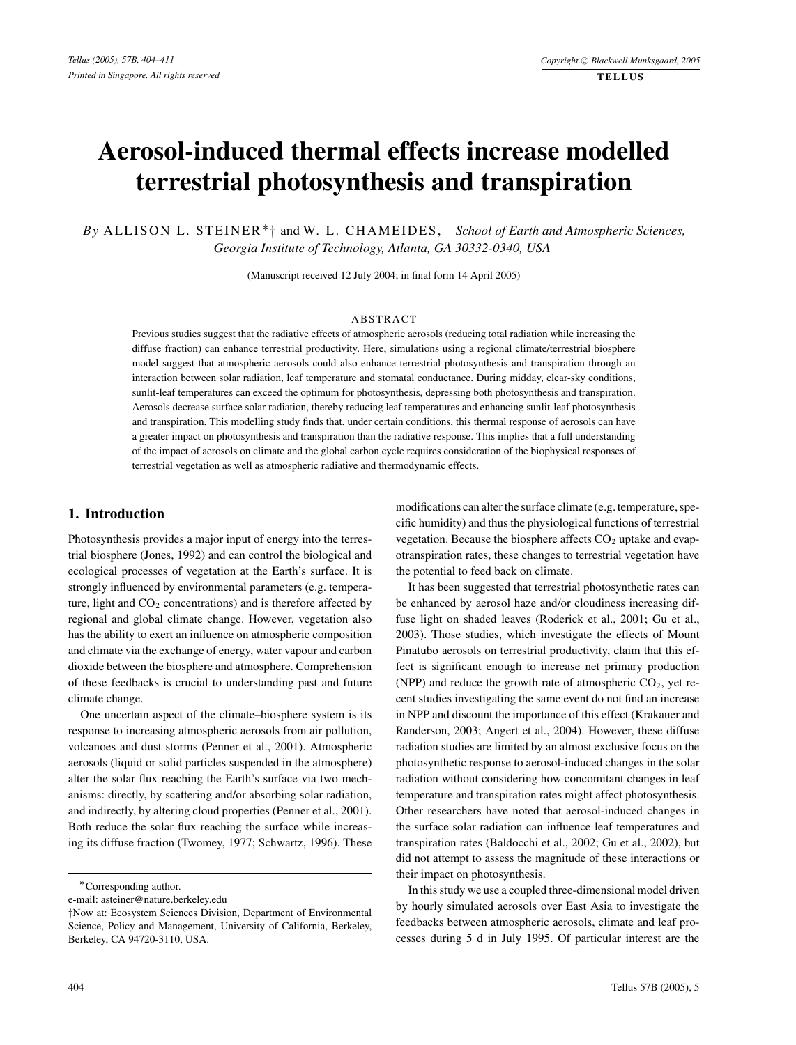# **Aerosol-induced thermal effects increase modelled terrestrial photosynthesis and transpiration**

*By* ALLISON L. STEINER∗† and W. L. CHAMEIDES, *School of Earth and Atmospheric Sciences, Georgia Institute of Technology, Atlanta, GA 30332-0340, USA*

(Manuscript received 12 July 2004; in final form 14 April 2005)

#### ABSTRACT

Previous studies suggest that the radiative effects of atmospheric aerosols (reducing total radiation while increasing the diffuse fraction) can enhance terrestrial productivity. Here, simulations using a regional climate/terrestrial biosphere model suggest that atmospheric aerosols could also enhance terrestrial photosynthesis and transpiration through an interaction between solar radiation, leaf temperature and stomatal conductance. During midday, clear-sky conditions, sunlit-leaf temperatures can exceed the optimum for photosynthesis, depressing both photosynthesis and transpiration. Aerosols decrease surface solar radiation, thereby reducing leaf temperatures and enhancing sunlit-leaf photosynthesis and transpiration. This modelling study finds that, under certain conditions, this thermal response of aerosols can have a greater impact on photosynthesis and transpiration than the radiative response. This implies that a full understanding of the impact of aerosols on climate and the global carbon cycle requires consideration of the biophysical responses of terrestrial vegetation as well as atmospheric radiative and thermodynamic effects.

# **1. Introduction**

Photosynthesis provides a major input of energy into the terrestrial biosphere (Jones, 1992) and can control the biological and ecological processes of vegetation at the Earth's surface. It is strongly influenced by environmental parameters (e.g. temperature, light and  $CO<sub>2</sub>$  concentrations) and is therefore affected by regional and global climate change. However, vegetation also has the ability to exert an influence on atmospheric composition and climate via the exchange of energy, water vapour and carbon dioxide between the biosphere and atmosphere. Comprehension of these feedbacks is crucial to understanding past and future climate change.

One uncertain aspect of the climate–biosphere system is its response to increasing atmospheric aerosols from air pollution, volcanoes and dust storms (Penner et al., 2001). Atmospheric aerosols (liquid or solid particles suspended in the atmosphere) alter the solar flux reaching the Earth's surface via two mechanisms: directly, by scattering and/or absorbing solar radiation, and indirectly, by altering cloud properties (Penner et al., 2001). Both reduce the solar flux reaching the surface while increasing its diffuse fraction (Twomey, 1977; Schwartz, 1996). These

e-mail: asteiner@nature.berkeley.edu

modifications can alter the surface climate (e.g. temperature, specific humidity) and thus the physiological functions of terrestrial vegetation. Because the biosphere affects  $CO<sub>2</sub>$  uptake and evapotranspiration rates, these changes to terrestrial vegetation have the potential to feed back on climate.

It has been suggested that terrestrial photosynthetic rates can be enhanced by aerosol haze and/or cloudiness increasing diffuse light on shaded leaves (Roderick et al., 2001; Gu et al., 2003). Those studies, which investigate the effects of Mount Pinatubo aerosols on terrestrial productivity, claim that this effect is significant enough to increase net primary production (NPP) and reduce the growth rate of atmospheric  $CO<sub>2</sub>$ , yet recent studies investigating the same event do not find an increase in NPP and discount the importance of this effect (Krakauer and Randerson, 2003; Angert et al., 2004). However, these diffuse radiation studies are limited by an almost exclusive focus on the photosynthetic response to aerosol-induced changes in the solar radiation without considering how concomitant changes in leaf temperature and transpiration rates might affect photosynthesis. Other researchers have noted that aerosol-induced changes in the surface solar radiation can influence leaf temperatures and transpiration rates (Baldocchi et al., 2002; Gu et al., 2002), but did not attempt to assess the magnitude of these interactions or their impact on photosynthesis.

In this study we use a coupled three-dimensional model driven by hourly simulated aerosols over East Asia to investigate the feedbacks between atmospheric aerosols, climate and leaf processes during 5 d in July 1995. Of particular interest are the

<sup>∗</sup>Corresponding author.

<sup>†</sup>Now at: Ecosystem Sciences Division, Department of Environmental Science, Policy and Management, University of California, Berkeley, Berkeley, CA 94720-3110, USA.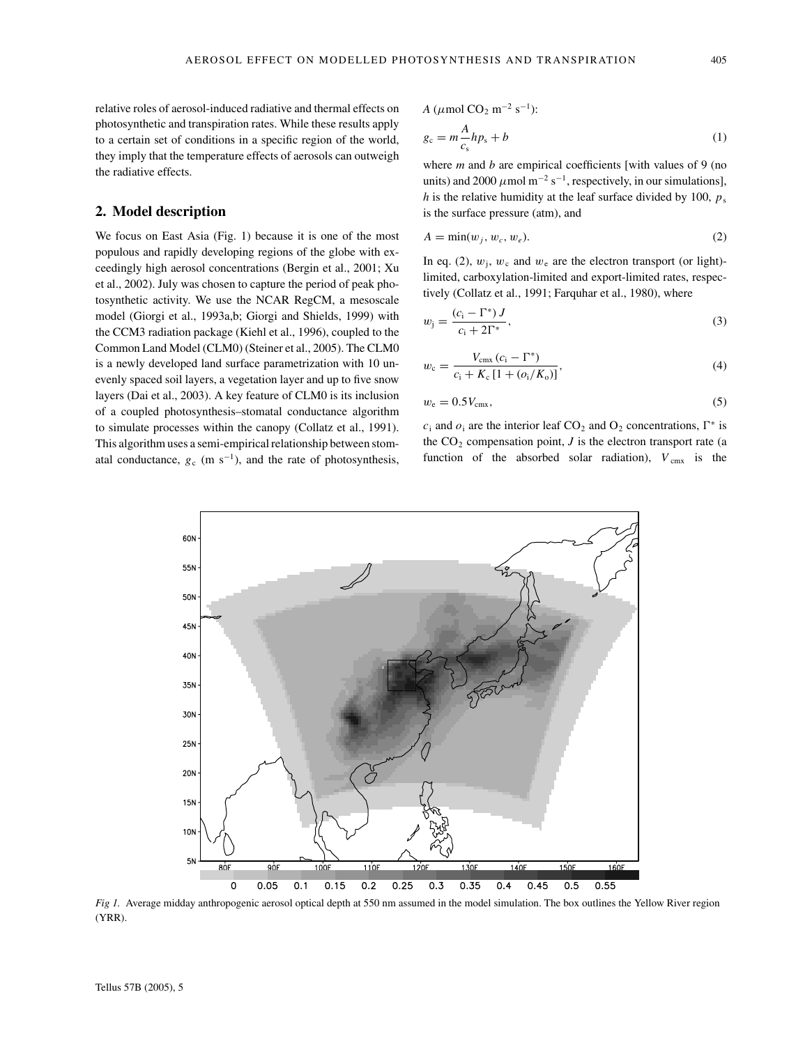relative roles of aerosol-induced radiative and thermal effects on photosynthetic and transpiration rates. While these results apply to a certain set of conditions in a specific region of the world, they imply that the temperature effects of aerosols can outweigh the radiative effects.

# **2. Model description**

We focus on East Asia (Fig. 1) because it is one of the most populous and rapidly developing regions of the globe with exceedingly high aerosol concentrations (Bergin et al., 2001; Xu et al., 2002). July was chosen to capture the period of peak photosynthetic activity. We use the NCAR RegCM, a mesoscale model (Giorgi et al., 1993a,b; Giorgi and Shields, 1999) with the CCM3 radiation package (Kiehl et al., 1996), coupled to the Common Land Model (CLM0) (Steiner et al., 2005). The CLM0 is a newly developed land surface parametrization with 10 unevenly spaced soil layers, a vegetation layer and up to five snow layers (Dai et al., 2003). A key feature of CLM0 is its inclusion of a coupled photosynthesis–stomatal conductance algorithm to simulate processes within the canopy (Collatz et al., 1991). This algorithm uses a semi-empirical relationship between stomatal conductance,  $g_c$  (m s<sup>-1</sup>), and the rate of photosynthesis,

$$
A (\mu \text{mol } \text{CO}_2 \text{ m}^{-2} \text{ s}^{-1}):
$$
  
\n
$$
g_c = m \frac{A}{c_s} h p_s + b
$$
 (1)

where *m* and *b* are empirical coefficients [with values of 9 (no units) and 2000  $\mu$  mol m<sup>-2</sup> s<sup>-1</sup>, respectively, in our simulations], *h* is the relative humidity at the leaf surface divided by 100,  $p_s$ is the surface pressure (atm), and

$$
A = \min(w_j, w_c, w_e). \tag{2}
$$

In eq. (2),  $w_i$ ,  $w_c$  and  $w_e$  are the electron transport (or light)limited, carboxylation-limited and export-limited rates, respectively (Collatz et al., 1991; Farquhar et al., 1980), where

$$
w_{j} = \frac{(c_{i} - \Gamma^{*}) J}{c_{i} + 2\Gamma^{*}},
$$
\n
$$
(3)
$$

$$
w_{\rm c} = \frac{V_{\rm cmx} (c_{\rm i} - \Gamma^*)}{c_{\rm i} + K_{\rm c} [1 + (o_{\rm i}/K_{\rm o})]},
$$
\n(4)

$$
w_{\rm e} = 0.5 V_{\rm cmx},\tag{5}
$$

*c*<sub>i</sub> and *o*<sub>i</sub> are the interior leaf CO<sub>2</sub> and O<sub>2</sub> concentrations,  $\Gamma^*$  is the  $CO<sub>2</sub>$  compensation point,  $J$  is the electron transport rate (a function of the absorbed solar radiation),  $V_{\text{cmx}}$  is the



*Fig 1.* Average midday anthropogenic aerosol optical depth at 550 nm assumed in the model simulation. The box outlines the Yellow River region (YRR).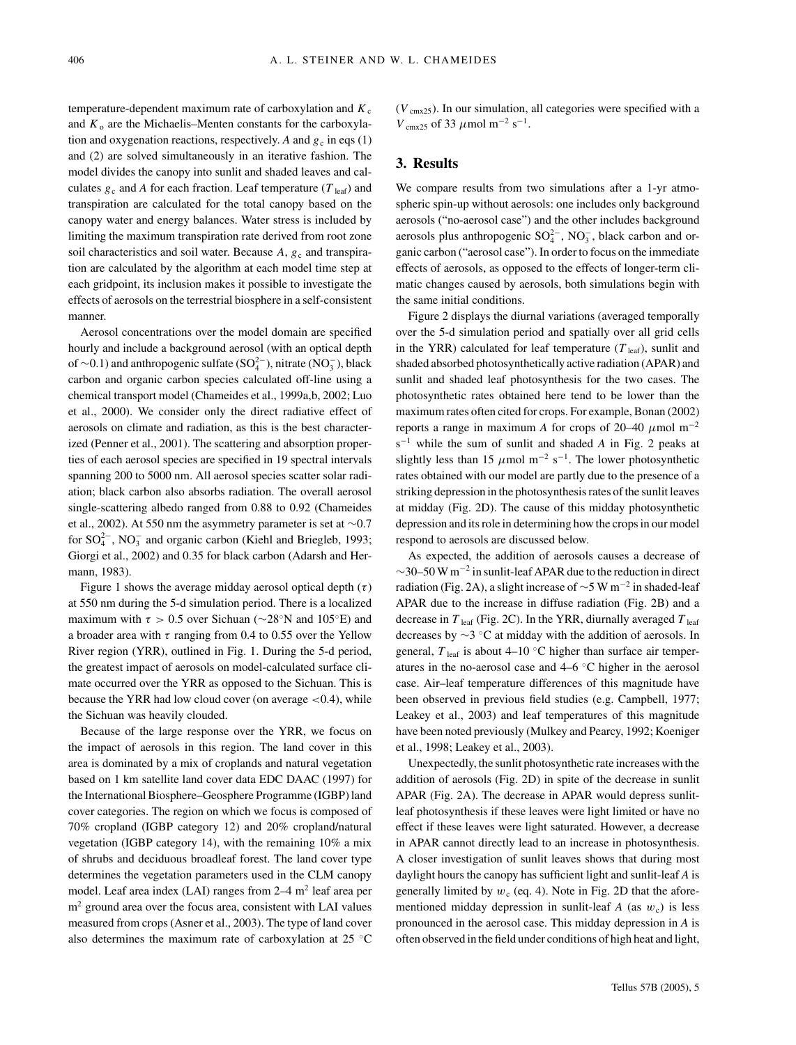temperature-dependent maximum rate of carboxylation and  $K_c$ and  $K_0$  are the Michaelis–Menten constants for the carboxylation and oxygenation reactions, respectively. *A* and  $g_c$  in eqs (1) and (2) are solved simultaneously in an iterative fashion. The model divides the canopy into sunlit and shaded leaves and calculates  $g_c$  and *A* for each fraction. Leaf temperature ( $T_{\text{leaf}}$ ) and transpiration are calculated for the total canopy based on the canopy water and energy balances. Water stress is included by limiting the maximum transpiration rate derived from root zone soil characteristics and soil water. Because  $A$ ,  $g_c$  and transpiration are calculated by the algorithm at each model time step at each gridpoint, its inclusion makes it possible to investigate the effects of aerosols on the terrestrial biosphere in a self-consistent manner.

Aerosol concentrations over the model domain are specified hourly and include a background aerosol (with an optical depth of ~0.1) and anthropogenic sulfate ( $SO_4^{2-}$ ), nitrate (NO<sub>3</sub>), black carbon and organic carbon species calculated off-line using a chemical transport model (Chameides et al., 1999a,b, 2002; Luo et al., 2000). We consider only the direct radiative effect of aerosols on climate and radiation, as this is the best characterized (Penner et al., 2001). The scattering and absorption properties of each aerosol species are specified in 19 spectral intervals spanning 200 to 5000 nm. All aerosol species scatter solar radiation; black carbon also absorbs radiation. The overall aerosol single-scattering albedo ranged from 0.88 to 0.92 (Chameides et al., 2002). At 550 nm the asymmetry parameter is set at ∼0.7 for  $SO_4^{2-}$ , NO<sub>3</sub> and organic carbon (Kiehl and Briegleb, 1993; Giorgi et al., 2002) and 0.35 for black carbon (Adarsh and Hermann, 1983).

Figure 1 shows the average midday aerosol optical depth  $(\tau)$ at 550 nm during the 5-d simulation period. There is a localized maximum with  $\tau > 0.5$  over Sichuan ( $\sim$ 28°N and 105°E) and a broader area with  $\tau$  ranging from 0.4 to 0.55 over the Yellow River region (YRR), outlined in Fig. 1. During the 5-d period, the greatest impact of aerosols on model-calculated surface climate occurred over the YRR as opposed to the Sichuan. This is because the YRR had low cloud cover (on average  $<$ 0.4), while the Sichuan was heavily clouded.

Because of the large response over the YRR, we focus on the impact of aerosols in this region. The land cover in this area is dominated by a mix of croplands and natural vegetation based on 1 km satellite land cover data EDC DAAC (1997) for the International Biosphere–Geosphere Programme (IGBP) land cover categories. The region on which we focus is composed of 70% cropland (IGBP category 12) and 20% cropland/natural vegetation (IGBP category 14), with the remaining 10% a mix of shrubs and deciduous broadleaf forest. The land cover type determines the vegetation parameters used in the CLM canopy model. Leaf area index (LAI) ranges from  $2-4$  m<sup>2</sup> leaf area per m<sup>2</sup> ground area over the focus area, consistent with LAI values measured from crops (Asner et al., 2003). The type of land cover also determines the maximum rate of carboxylation at 25 ◦C  $(V_{\text{cmx25}})$ . In our simulation, all categories were specified with a *V* cmx25 of 33  $\mu$  mol m<sup>-2</sup> s<sup>-1</sup>.

## **3. Results**

We compare results from two simulations after a 1-yr atmospheric spin-up without aerosols: one includes only background aerosols ("no-aerosol case") and the other includes background aerosols plus anthropogenic  $SO_4^{2-}$ , NO<sub>3</sub>, black carbon and organic carbon ("aerosol case"). In order to focus on the immediate effects of aerosols, as opposed to the effects of longer-term climatic changes caused by aerosols, both simulations begin with the same initial conditions.

Figure 2 displays the diurnal variations (averaged temporally over the 5-d simulation period and spatially over all grid cells in the YRR) calculated for leaf temperature  $(T_{\text{leaf}})$ , sunlit and shaded absorbed photosynthetically active radiation (APAR) and sunlit and shaded leaf photosynthesis for the two cases. The photosynthetic rates obtained here tend to be lower than the maximum rates often cited for crops. For example, Bonan (2002) reports a range in maximum *A* for crops of 20–40  $\mu$ mol m<sup>-2</sup> s−<sup>1</sup> while the sum of sunlit and shaded *A* in Fig. 2 peaks at slightly less than 15  $\mu$ mol m<sup>-2</sup> s<sup>-1</sup>. The lower photosynthetic rates obtained with our model are partly due to the presence of a striking depression in the photosynthesis rates of the sunlit leaves at midday (Fig. 2D). The cause of this midday photosynthetic depression and its role in determining how the crops in our model respond to aerosols are discussed below.

As expected, the addition of aerosols causes a decrease of  $\sim$ 30–50 W m<sup>-2</sup> in sunlit-leaf APAR due to the reduction in direct radiation (Fig. 2A), a slight increase of  $\sim$ 5 W m<sup>-2</sup> in shaded-leaf APAR due to the increase in diffuse radiation (Fig. 2B) and a decrease in  $T_{\text{leaf}}$  (Fig. 2C). In the YRR, diurnally averaged  $T_{\text{leaf}}$ decreases by ∼3 ◦C at midday with the addition of aerosols. In general,  $T_{\text{leaf}}$  is about 4–10 °C higher than surface air temperatures in the no-aerosol case and 4–6 ◦C higher in the aerosol case. Air–leaf temperature differences of this magnitude have been observed in previous field studies (e.g. Campbell, 1977; Leakey et al., 2003) and leaf temperatures of this magnitude have been noted previously (Mulkey and Pearcy, 1992; Koeniger et al., 1998; Leakey et al., 2003).

Unexpectedly, the sunlit photosynthetic rate increases with the addition of aerosols (Fig. 2D) in spite of the decrease in sunlit APAR (Fig. 2A). The decrease in APAR would depress sunlitleaf photosynthesis if these leaves were light limited or have no effect if these leaves were light saturated. However, a decrease in APAR cannot directly lead to an increase in photosynthesis. A closer investigation of sunlit leaves shows that during most daylight hours the canopy has sufficient light and sunlit-leaf *A* is generally limited by  $w_c$  (eq. 4). Note in Fig. 2D that the aforementioned midday depression in sunlit-leaf  $A$  (as  $w_c$ ) is less pronounced in the aerosol case. This midday depression in *A* is often observed in the field under conditions of high heat and light,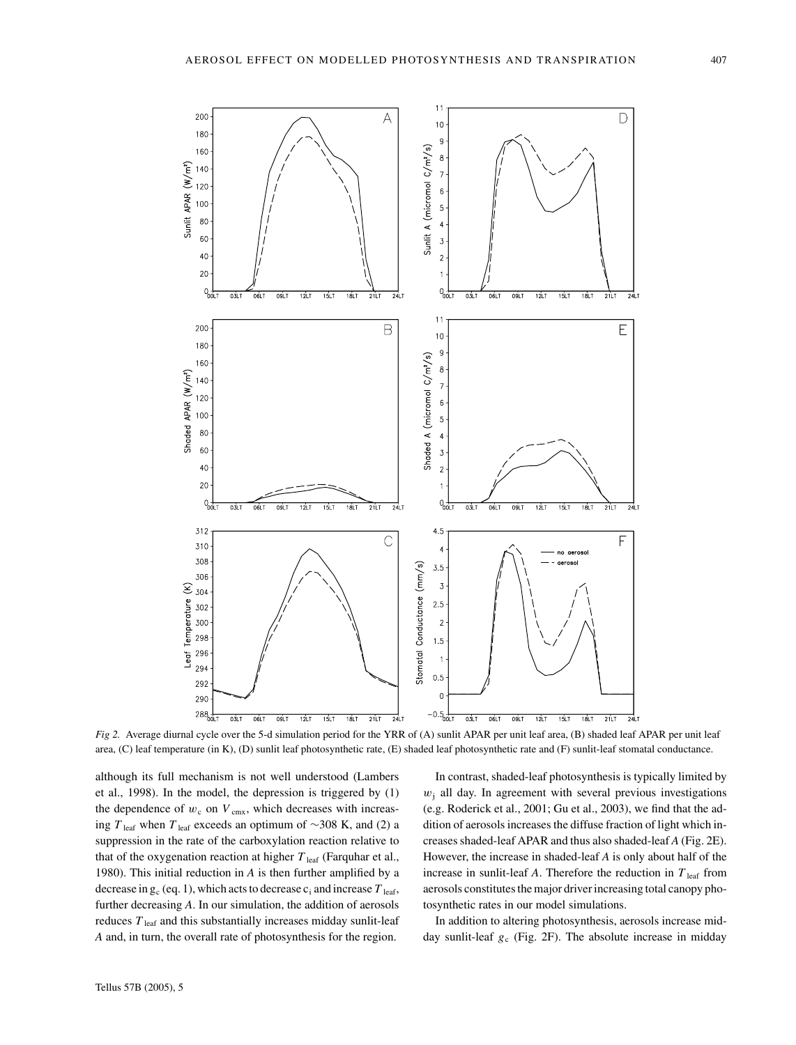

*Fig 2.* Average diurnal cycle over the 5-d simulation period for the YRR of (A) sunlit APAR per unit leaf area, (B) shaded leaf APAR per unit leaf area, (C) leaf temperature (in K), (D) sunlit leaf photosynthetic rate, (E) shaded leaf photosynthetic rate and (F) sunlit-leaf stomatal conductance.

although its full mechanism is not well understood (Lambers et al., 1998). In the model, the depression is triggered by (1) the dependence of  $w_c$  on  $V_{cmx}$ , which decreases with increasing *T* leaf when *T* leaf exceeds an optimum of ∼308 K, and (2) a suppression in the rate of the carboxylation reaction relative to that of the oxygenation reaction at higher  $T_{\text{leaf}}$  (Farquhar et al., 1980). This initial reduction in *A* is then further amplified by a decrease in  $g_c$  (eq. 1), which acts to decrease  $c_i$  and increase  $T_{leaf}$ , further decreasing *A*. In our simulation, the addition of aerosols reduces  $T_{\text{leaf}}$  and this substantially increases midday sunlit-leaf *A* and, in turn, the overall rate of photosynthesis for the region.

In contrast, shaded-leaf photosynthesis is typically limited by  $w_i$  all day. In agreement with several previous investigations (e.g. Roderick et al., 2001; Gu et al., 2003), we find that the addition of aerosols increases the diffuse fraction of light which increases shaded-leaf APAR and thus also shaded-leaf *A* (Fig. 2E). However, the increase in shaded-leaf *A* is only about half of the increase in sunlit-leaf *A*. Therefore the reduction in  $T_{\text{leaf}}$  from aerosols constitutes the major driver increasing total canopy photosynthetic rates in our model simulations.

In addition to altering photosynthesis, aerosols increase midday sunlit-leaf  $g_c$  (Fig. 2F). The absolute increase in midday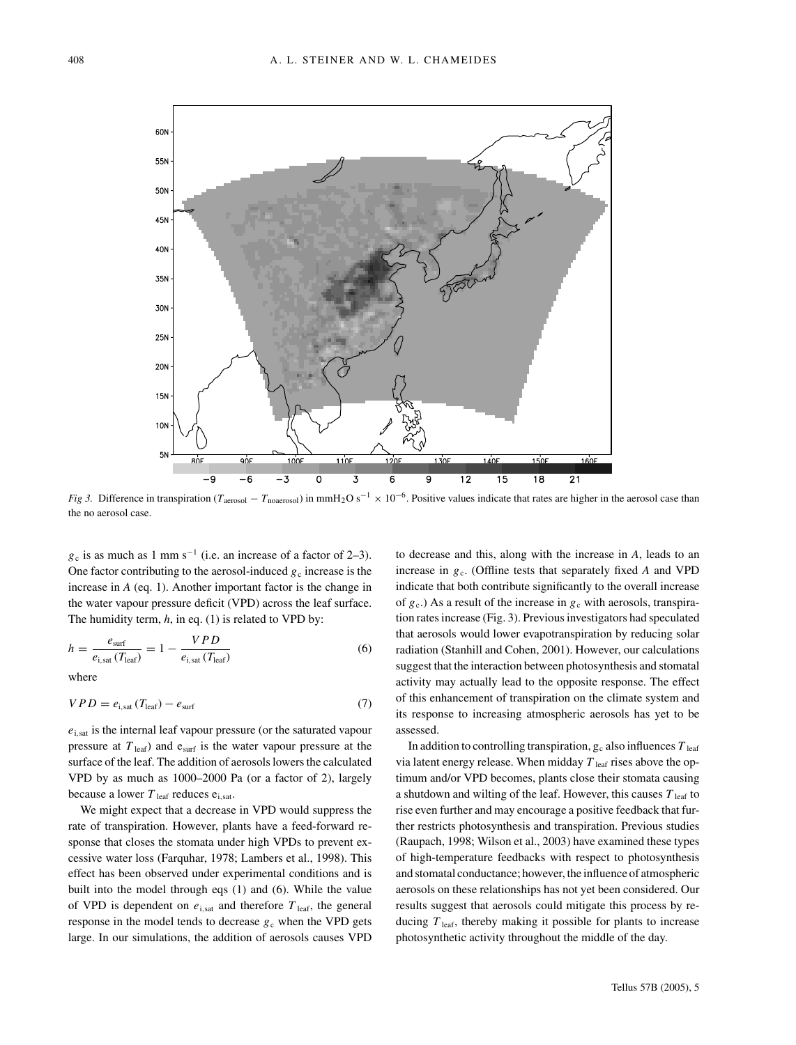

*Fig 3.* Difference in transpiration ( $T_{\text{aerosol}} - T_{\text{noaerosol}}$ ) in mmH<sub>2</sub>O s<sup>-1</sup> × 10<sup>-6</sup>. Positive values indicate that rates are higher in the aerosol case than the no aerosol case.

 $g_c$  is as much as 1 mm s<sup>-1</sup> (i.e. an increase of a factor of 2–3). One factor contributing to the aerosol-induced  $g_c$  increase is the increase in *A* (eq. 1). Another important factor is the change in the water vapour pressure deficit (VPD) across the leaf surface. The humidity term, *h*, in eq. (1) is related to VPD by:

$$
h = \frac{e_{\text{surf}}}{e_{\text{i, sat}}(T_{\text{leaf}})} = 1 - \frac{VPD}{e_{\text{i, sat}}(T_{\text{leaf}})}
$$
(6)

where

$$
VPD = e_{i, \text{sat}} \left( T_{\text{leaf}} \right) - e_{\text{surf}} \tag{7}
$$

*e*<sup>i</sup>,sat is the internal leaf vapour pressure (or the saturated vapour pressure at  $T_{\text{leaf}}$ ) and  $e_{\text{surf}}$  is the water vapour pressure at the surface of the leaf. The addition of aerosols lowers the calculated VPD by as much as 1000–2000 Pa (or a factor of 2), largely because a lower  $T_{\text{leaf}}$  reduces  $e_{i,\text{sat}}$ .

We might expect that a decrease in VPD would suppress the rate of transpiration. However, plants have a feed-forward response that closes the stomata under high VPDs to prevent excessive water loss (Farquhar, 1978; Lambers et al., 1998). This effect has been observed under experimental conditions and is built into the model through eqs (1) and (6). While the value of VPD is dependent on  $e_{i, \text{sat}}$  and therefore  $T_{\text{leaf}}$ , the general response in the model tends to decrease  $g_c$  when the VPD gets large. In our simulations, the addition of aerosols causes VPD to decrease and this, along with the increase in *A*, leads to an increase in  $g_c$ . (Offline tests that separately fixed *A* and VPD indicate that both contribute significantly to the overall increase of  $g_c$ .) As a result of the increase in  $g_c$  with aerosols, transpiration rates increase (Fig. 3). Previous investigators had speculated that aerosols would lower evapotranspiration by reducing solar radiation (Stanhill and Cohen, 2001). However, our calculations suggest that the interaction between photosynthesis and stomatal activity may actually lead to the opposite response. The effect of this enhancement of transpiration on the climate system and its response to increasing atmospheric aerosols has yet to be assessed.

In addition to controlling transpiration,  $g_c$  also influences  $T_{\text{leaf}}$ via latent energy release. When midday  $T_{\text{leaf}}$  rises above the optimum and/or VPD becomes, plants close their stomata causing a shutdown and wilting of the leaf. However, this causes  $T_{\text{leaf}}$  to rise even further and may encourage a positive feedback that further restricts photosynthesis and transpiration. Previous studies (Raupach, 1998; Wilson et al., 2003) have examined these types of high-temperature feedbacks with respect to photosynthesis and stomatal conductance; however, the influence of atmospheric aerosols on these relationships has not yet been considered. Our results suggest that aerosols could mitigate this process by reducing  $T_{\text{leaf}}$ , thereby making it possible for plants to increase photosynthetic activity throughout the middle of the day.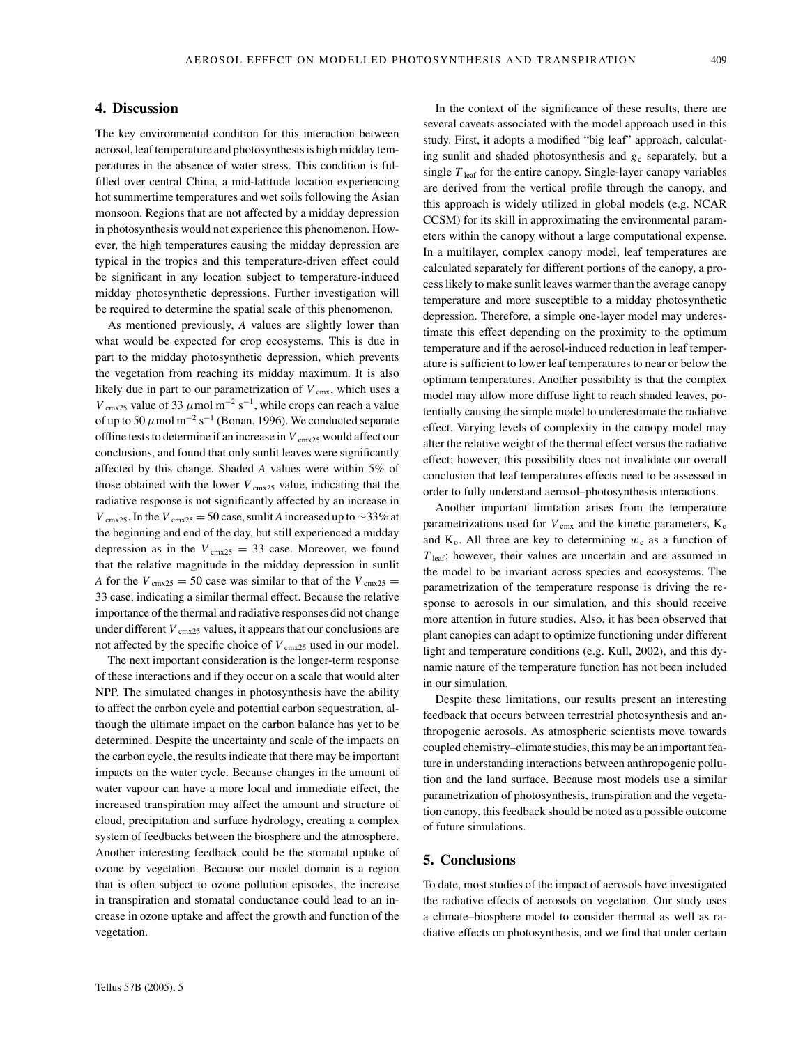## **4. Discussion**

The key environmental condition for this interaction between aerosol, leaf temperature and photosynthesis is high midday temperatures in the absence of water stress. This condition is fulfilled over central China, a mid-latitude location experiencing hot summertime temperatures and wet soils following the Asian monsoon. Regions that are not affected by a midday depression in photosynthesis would not experience this phenomenon. However, the high temperatures causing the midday depression are typical in the tropics and this temperature-driven effect could be significant in any location subject to temperature-induced midday photosynthetic depressions. Further investigation will be required to determine the spatial scale of this phenomenon.

As mentioned previously, *A* values are slightly lower than what would be expected for crop ecosystems. This is due in part to the midday photosynthetic depression, which prevents the vegetation from reaching its midday maximum. It is also likely due in part to our parametrization of  $V_{\text{cmx}}$ , which uses a  $V_{\text{cmx25}}$  value of 33  $\mu$ mol m<sup>-2</sup> s<sup>-1</sup>, while crops can reach a value of up to 50  $\mu$ mol m<sup>-2</sup> s<sup>-1</sup> (Bonan, 1996). We conducted separate offline tests to determine if an increase in  $V_{\text{cmx25}}$  would affect our conclusions, and found that only sunlit leaves were significantly affected by this change. Shaded *A* values were within 5% of those obtained with the lower  $V_{\text{cmx25}}$  value, indicating that the radiative response is not significantly affected by an increase in *V* cmx25. In the *V* cmx25 = 50 case, sunlit *A* increased up to ∼33% at the beginning and end of the day, but still experienced a midday depression as in the  $V_{\text{cmx25}} = 33$  case. Moreover, we found that the relative magnitude in the midday depression in sunlit *A* for the  $V_{cmx25} = 50$  case was similar to that of the  $V_{cmx25} =$ 33 case, indicating a similar thermal effect. Because the relative importance of the thermal and radiative responses did not change under different  $V_{\text{cmx25}}$  values, it appears that our conclusions are not affected by the specific choice of  $V_{\text{cmx25}}$  used in our model.

The next important consideration is the longer-term response of these interactions and if they occur on a scale that would alter NPP. The simulated changes in photosynthesis have the ability to affect the carbon cycle and potential carbon sequestration, although the ultimate impact on the carbon balance has yet to be determined. Despite the uncertainty and scale of the impacts on the carbon cycle, the results indicate that there may be important impacts on the water cycle. Because changes in the amount of water vapour can have a more local and immediate effect, the increased transpiration may affect the amount and structure of cloud, precipitation and surface hydrology, creating a complex system of feedbacks between the biosphere and the atmosphere. Another interesting feedback could be the stomatal uptake of ozone by vegetation. Because our model domain is a region that is often subject to ozone pollution episodes, the increase in transpiration and stomatal conductance could lead to an increase in ozone uptake and affect the growth and function of the vegetation.

In the context of the significance of these results, there are several caveats associated with the model approach used in this study. First, it adopts a modified "big leaf" approach, calculating sunlit and shaded photosynthesis and  $g_c$  separately, but a single  $T_{\text{leaf}}$  for the entire canopy. Single-layer canopy variables are derived from the vertical profile through the canopy, and this approach is widely utilized in global models (e.g. NCAR CCSM) for its skill in approximating the environmental parameters within the canopy without a large computational expense. In a multilayer, complex canopy model, leaf temperatures are calculated separately for different portions of the canopy, a process likely to make sunlit leaves warmer than the average canopy temperature and more susceptible to a midday photosynthetic depression. Therefore, a simple one-layer model may underestimate this effect depending on the proximity to the optimum temperature and if the aerosol-induced reduction in leaf temperature is sufficient to lower leaf temperatures to near or below the optimum temperatures. Another possibility is that the complex model may allow more diffuse light to reach shaded leaves, potentially causing the simple model to underestimate the radiative effect. Varying levels of complexity in the canopy model may alter the relative weight of the thermal effect versus the radiative effect; however, this possibility does not invalidate our overall conclusion that leaf temperatures effects need to be assessed in order to fully understand aerosol–photosynthesis interactions.

Another important limitation arises from the temperature parametrizations used for  $V_{\text{cmx}}$  and the kinetic parameters,  $K_c$ and  $K_0$ . All three are key to determining  $w_c$  as a function of  $T_{\text{leaf}}$ ; however, their values are uncertain and are assumed in the model to be invariant across species and ecosystems. The parametrization of the temperature response is driving the response to aerosols in our simulation, and this should receive more attention in future studies. Also, it has been observed that plant canopies can adapt to optimize functioning under different light and temperature conditions (e.g. Kull, 2002), and this dynamic nature of the temperature function has not been included in our simulation.

Despite these limitations, our results present an interesting feedback that occurs between terrestrial photosynthesis and anthropogenic aerosols. As atmospheric scientists move towards coupled chemistry–climate studies, this may be an important feature in understanding interactions between anthropogenic pollution and the land surface. Because most models use a similar parametrization of photosynthesis, transpiration and the vegetation canopy, this feedback should be noted as a possible outcome of future simulations.

#### **5. Conclusions**

To date, most studies of the impact of aerosols have investigated the radiative effects of aerosols on vegetation. Our study uses a climate–biosphere model to consider thermal as well as radiative effects on photosynthesis, and we find that under certain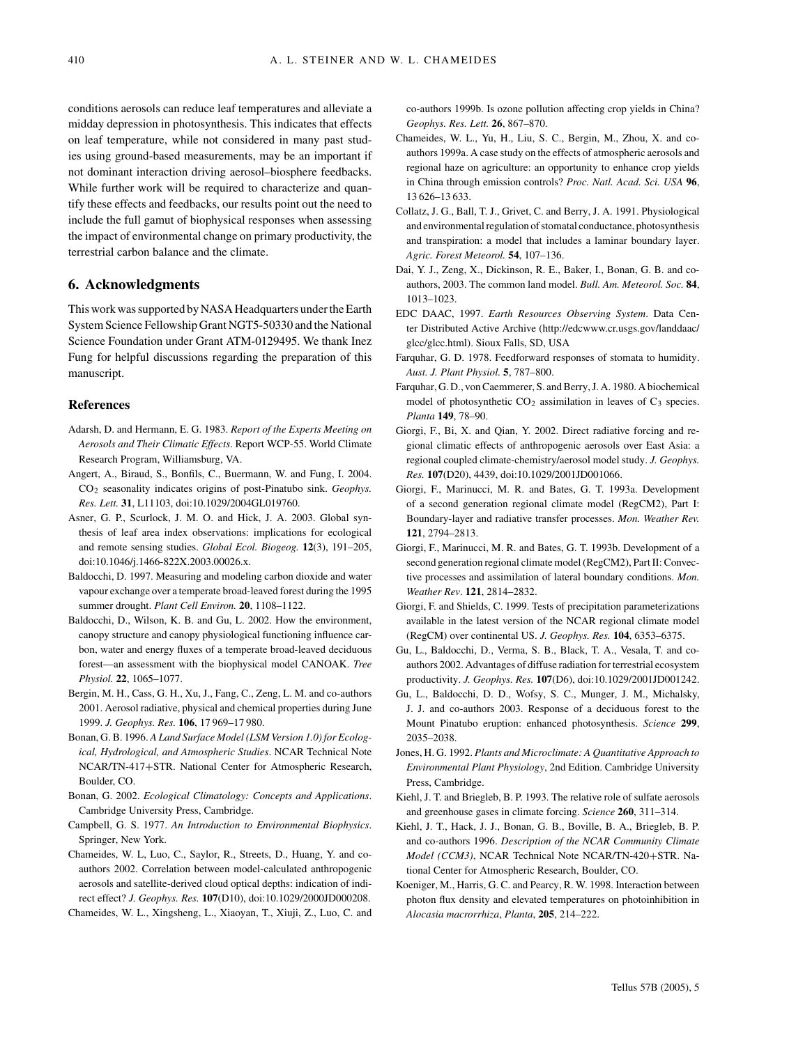conditions aerosols can reduce leaf temperatures and alleviate a midday depression in photosynthesis. This indicates that effects on leaf temperature, while not considered in many past studies using ground-based measurements, may be an important if not dominant interaction driving aerosol–biosphere feedbacks. While further work will be required to characterize and quantify these effects and feedbacks, our results point out the need to include the full gamut of biophysical responses when assessing the impact of environmental change on primary productivity, the terrestrial carbon balance and the climate.

#### **6. Acknowledgments**

This work was supported by NASA Headquarters under the Earth System Science Fellowship Grant NGT5-50330 and the National Science Foundation under Grant ATM-0129495. We thank Inez Fung for helpful discussions regarding the preparation of this manuscript.

#### **References**

- Adarsh, D. and Hermann, E. G. 1983. *Report of the Experts Meeting on Aerosols and Their Climatic Effects*. Report WCP-55. World Climate Research Program, Williamsburg, VA.
- Angert, A., Biraud, S., Bonfils, C., Buermann, W. and Fung, I. 2004. CO2 seasonality indicates origins of post-Pinatubo sink. *Geophys. Res. Lett.* **31**, L11103, doi:10.1029/2004GL019760.
- Asner, G. P., Scurlock, J. M. O. and Hick, J. A. 2003. Global synthesis of leaf area index observations: implications for ecological and remote sensing studies. *Global Ecol. Biogeog.* **12**(3), 191–205, doi:10.1046/j.1466-822X.2003.00026.x.
- Baldocchi, D. 1997. Measuring and modeling carbon dioxide and water vapour exchange over a temperate broad-leaved forest during the 1995 summer drought. *Plant Cell Environ.* **20**, 1108–1122.
- Baldocchi, D., Wilson, K. B. and Gu, L. 2002. How the environment, canopy structure and canopy physiological functioning influence carbon, water and energy fluxes of a temperate broad-leaved deciduous forest—an assessment with the biophysical model CANOAK. *Tree Physiol.* **22**, 1065–1077.
- Bergin, M. H., Cass, G. H., Xu, J., Fang, C., Zeng, L. M. and co-authors 2001. Aerosol radiative, physical and chemical properties during June 1999. *J. Geophys. Res.* **106**, 17 969–17 980.
- Bonan, G. B. 1996. *A Land Surface Model (LSM Version 1.0) for Ecological, Hydrological, and Atmospheric Studies*. NCAR Technical Note NCAR/TN-417+STR. National Center for Atmospheric Research, Boulder, CO.
- Bonan, G. 2002. *Ecological Climatology: Concepts and Applications*. Cambridge University Press, Cambridge.
- Campbell, G. S. 1977. *An Introduction to Environmental Biophysics*. Springer, New York.
- Chameides, W. L, Luo, C., Saylor, R., Streets, D., Huang, Y. and coauthors 2002. Correlation between model-calculated anthropogenic aerosols and satellite-derived cloud optical depths: indication of indirect effect? *J. Geophys. Res.* **107**(D10), doi:10.1029/2000JD000208.
- Chameides, W. L., Xingsheng, L., Xiaoyan, T., Xiuji, Z., Luo, C. and

co-authors 1999b. Is ozone pollution affecting crop yields in China? *Geophys. Res. Lett.* **26**, 867–870.

- Chameides, W. L., Yu, H., Liu, S. C., Bergin, M., Zhou, X. and coauthors 1999a. A case study on the effects of atmospheric aerosols and regional haze on agriculture: an opportunity to enhance crop yields in China through emission controls? *Proc. Natl. Acad. Sci. USA* **96**, 13 626–13 633.
- Collatz, J. G., Ball, T. J., Grivet, C. and Berry, J. A. 1991. Physiological and environmental regulation of stomatal conductance, photosynthesis and transpiration: a model that includes a laminar boundary layer. *Agric. Forest Meteorol.* **54**, 107–136.
- Dai, Y. J., Zeng, X., Dickinson, R. E., Baker, I., Bonan, G. B. and coauthors, 2003. The common land model. *Bull. Am. Meteorol. Soc.* **84**, 1013–1023.
- EDC DAAC, 1997. *Earth Resources Observing System*. Data Center Distributed Active Archive (http://edcwww.cr.usgs.gov/landdaac/ glcc/glcc.html). Sioux Falls, SD, USA
- Farquhar, G. D. 1978. Feedforward responses of stomata to humidity. *Aust. J. Plant Physiol.* **5**, 787–800.
- Farquhar, G. D., von Caemmerer, S. and Berry, J. A. 1980. A biochemical model of photosynthetic  $CO<sub>2</sub>$  assimilation in leaves of  $C<sub>3</sub>$  species. *Planta* **149**, 78–90.
- Giorgi, F., Bi, X. and Qian, Y. 2002. Direct radiative forcing and regional climatic effects of anthropogenic aerosols over East Asia: a regional coupled climate-chemistry/aerosol model study. *J. Geophys. Res.* **107**(D20), 4439, doi:10.1029/2001JD001066.
- Giorgi, F., Marinucci, M. R. and Bates, G. T. 1993a. Development of a second generation regional climate model (RegCM2), Part I: Boundary-layer and radiative transfer processes. *Mon. Weather Rev.* **121**, 2794–2813.
- Giorgi, F., Marinucci, M. R. and Bates, G. T. 1993b. Development of a second generation regional climate model (RegCM2), Part II: Convective processes and assimilation of lateral boundary conditions. *Mon. Weather Rev*. **121**, 2814–2832.
- Giorgi, F. and Shields, C. 1999. Tests of precipitation parameterizations available in the latest version of the NCAR regional climate model (RegCM) over continental US. *J. Geophys. Res.* **104**, 6353–6375.
- Gu, L., Baldocchi, D., Verma, S. B., Black, T. A., Vesala, T. and coauthors 2002. Advantages of diffuse radiation for terrestrial ecosystem productivity. *J. Geophys. Res.* **107**(D6), doi:10.1029/2001JD001242.
- Gu, L., Baldocchi, D. D., Wofsy, S. C., Munger, J. M., Michalsky, J. J. and co-authors 2003. Response of a deciduous forest to the Mount Pinatubo eruption: enhanced photosynthesis. *Science* **299**, 2035–2038.
- Jones, H. G. 1992. *Plants and Microclimate: A Quantitative Approach to Environmental Plant Physiology*, 2nd Edition. Cambridge University Press, Cambridge.
- Kiehl, J. T. and Briegleb, B. P. 1993. The relative role of sulfate aerosols and greenhouse gases in climate forcing. *Science* **260**, 311–314.
- Kiehl, J. T., Hack, J. J., Bonan, G. B., Boville, B. A., Briegleb, B. P. and co-authors 1996. *Description of the NCAR Community Climate Model (CCM3)*, NCAR Technical Note NCAR/TN-420+STR. National Center for Atmospheric Research, Boulder, CO.
- Koeniger, M., Harris, G. C. and Pearcy, R. W. 1998. Interaction between photon flux density and elevated temperatures on photoinhibition in *Alocasia macrorrhiza*, *Planta*, **205**, 214–222.